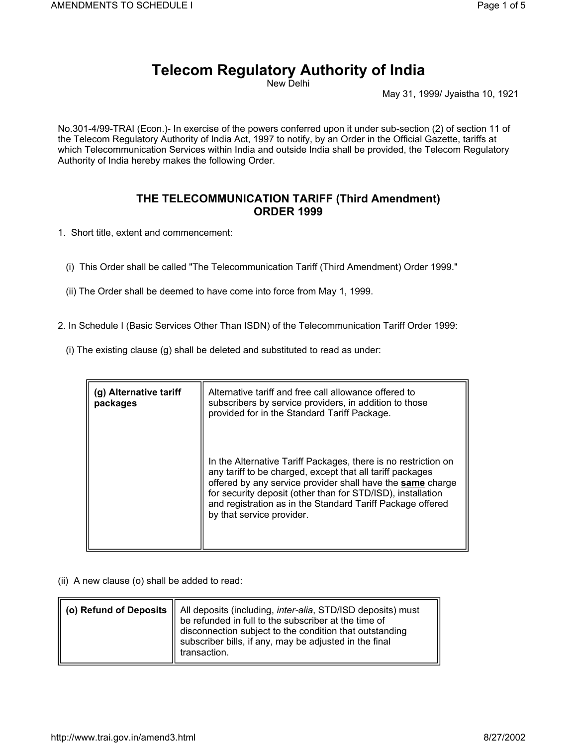## **Telecom Regulatory Authority of India**

New Delhi

May 31, 1999/ Jyaistha 10, 1921

No.301-4/99-TRAI (Econ.)- In exercise of the powers conferred upon it under sub-section (2) of section 11 of the Telecom Regulatory Authority of India Act, 1997 to notify, by an Order in the Official Gazette, tariffs at which Telecommunication Services within India and outside India shall be provided, the Telecom Regulatory Authority of India hereby makes the following Order.

## **THE TELECOMMUNICATION TARIFF (Third Amendment) ORDER 1999**

1. Short title, extent and commencement:

- (i) This Order shall be called "The Telecommunication Tariff (Third Amendment) Order 1999."
- (ii) The Order shall be deemed to have come into force from May 1, 1999.
- 2. In Schedule I (Basic Services Other Than ISDN) of the Telecommunication Tariff Order 1999:
	- (i) The existing clause (g) shall be deleted and substituted to read as under:

| (g) Alternative tariff<br>packages | Alternative tariff and free call allowance offered to<br>subscribers by service providers, in addition to those<br>provided for in the Standard Tariff Package.                                                                                                                                                                                     |
|------------------------------------|-----------------------------------------------------------------------------------------------------------------------------------------------------------------------------------------------------------------------------------------------------------------------------------------------------------------------------------------------------|
|                                    | In the Alternative Tariff Packages, there is no restriction on<br>any tariff to be charged, except that all tariff packages<br>offered by any service provider shall have the same charge<br>for security deposit (other than for STD/ISD), installation<br>and registration as in the Standard Tariff Package offered<br>by that service provider. |

(ii) A new clause (o) shall be added to read:

|  | (o) Refund of Deposits    All deposits (including, <i>inter-alia</i> , STD/ISD deposits) must<br>be refunded in full to the subscriber at the time of<br>disconnection subject to the condition that outstanding<br>subscriber bills, if any, may be adjusted in the final<br>transaction. |
|--|--------------------------------------------------------------------------------------------------------------------------------------------------------------------------------------------------------------------------------------------------------------------------------------------|
|--|--------------------------------------------------------------------------------------------------------------------------------------------------------------------------------------------------------------------------------------------------------------------------------------------|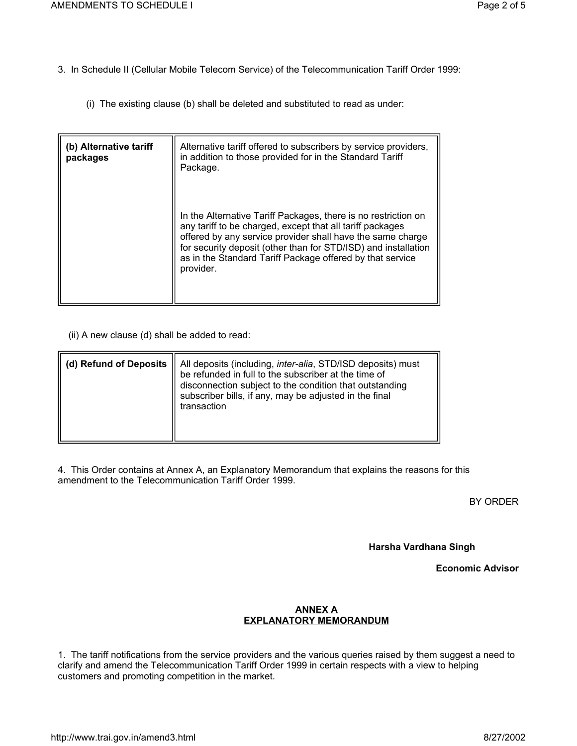3. In Schedule II (Cellular Mobile Telecom Service) of the Telecommunication Tariff Order 1999:

(i) The existing clause (b) shall be deleted and substituted to read as under:

| (b) Alternative tariff<br>packages | Alternative tariff offered to subscribers by service providers,<br>in addition to those provided for in the Standard Tariff<br>Package.                                                                                                                                                                                               |
|------------------------------------|---------------------------------------------------------------------------------------------------------------------------------------------------------------------------------------------------------------------------------------------------------------------------------------------------------------------------------------|
|                                    | In the Alternative Tariff Packages, there is no restriction on<br>any tariff to be charged, except that all tariff packages<br>offered by any service provider shall have the same charge<br>for security deposit (other than for STD/ISD) and installation<br>as in the Standard Tariff Package offered by that service<br>provider. |

(ii) A new clause (d) shall be added to read:

| (d) Refund of Deposits $\parallel$ | All deposits (including, <i>inter-alia</i> , STD/ISD deposits) must<br>be refunded in full to the subscriber at the time of<br>disconnection subject to the condition that outstanding<br>subscriber bills, if any, may be adjusted in the final<br>transaction |
|------------------------------------|-----------------------------------------------------------------------------------------------------------------------------------------------------------------------------------------------------------------------------------------------------------------|
|------------------------------------|-----------------------------------------------------------------------------------------------------------------------------------------------------------------------------------------------------------------------------------------------------------------|

4. This Order contains at Annex A, an Explanatory Memorandum that explains the reasons for this amendment to the Telecommunication Tariff Order 1999.

BY ORDER

**Harsha Vardhana Singh**

**Economic Advisor**

## **ANNEX A EXPLANATORY MEMORANDUM**

1. The tariff notifications from the service providers and the various queries raised by them suggest a need to clarify and amend the Telecommunication Tariff Order 1999 in certain respects with a view to helping customers and promoting competition in the market.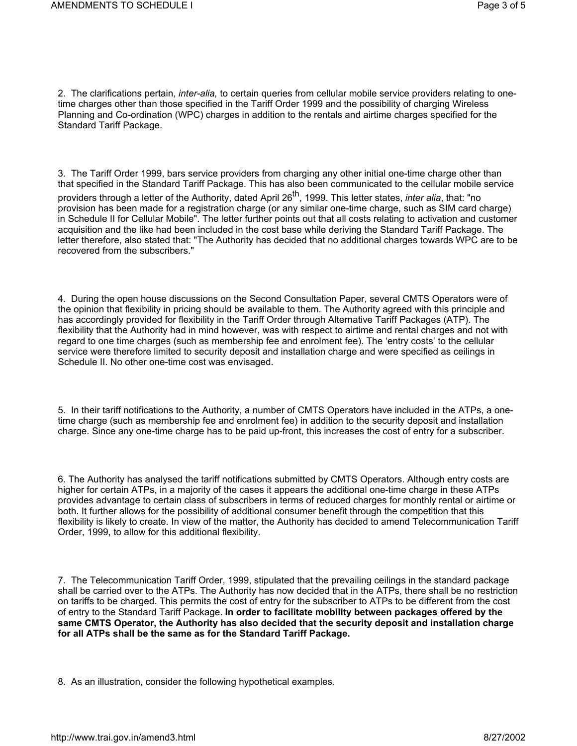2. The clarifications pertain, *inter-alia,* to certain queries from cellular mobile service providers relating to onetime charges other than those specified in the Tariff Order 1999 and the possibility of charging Wireless Planning and Co-ordination (WPC) charges in addition to the rentals and airtime charges specified for the Standard Tariff Package.

3. The Tariff Order 1999, bars service providers from charging any other initial one-time charge other than that specified in the Standard Tariff Package. This has also been communicated to the cellular mobile service providers through a letter of the Authority, dated April 26<sup>th</sup>, 1999. This letter states, *inter alia*, that: "no provision has been made for a registration charge (or any similar one-time charge, such as SIM card charge) in Schedule II for Cellular Mobile". The letter further points out that all costs relating to activation and customer acquisition and the like had been included in the cost base while deriving the Standard Tariff Package. The letter therefore, also stated that: "The Authority has decided that no additional charges towards WPC are to be recovered from the subscribers."

4. During the open house discussions on the Second Consultation Paper, several CMTS Operators were of the opinion that flexibility in pricing should be available to them. The Authority agreed with this principle and has accordingly provided for flexibility in the Tariff Order through Alternative Tariff Packages (ATP). The flexibility that the Authority had in mind however, was with respect to airtime and rental charges and not with regard to one time charges (such as membership fee and enrolment fee). The 'entry costs' to the cellular service were therefore limited to security deposit and installation charge and were specified as ceilings in Schedule II. No other one-time cost was envisaged.

5. In their tariff notifications to the Authority, a number of CMTS Operators have included in the ATPs, a onetime charge (such as membership fee and enrolment fee) in addition to the security deposit and installation charge. Since any one-time charge has to be paid up-front, this increases the cost of entry for a subscriber.

6. The Authority has analysed the tariff notifications submitted by CMTS Operators. Although entry costs are higher for certain ATPs, in a majority of the cases it appears the additional one-time charge in these ATPs provides advantage to certain class of subscribers in terms of reduced charges for monthly rental or airtime or both. It further allows for the possibility of additional consumer benefit through the competition that this flexibility is likely to create. In view of the matter, the Authority has decided to amend Telecommunication Tariff Order, 1999, to allow for this additional flexibility.

7. The Telecommunication Tariff Order, 1999, stipulated that the prevailing ceilings in the standard package shall be carried over to the ATPs. The Authority has now decided that in the ATPs, there shall be no restriction on tariffs to be charged. This permits the cost of entry for the subscriber to ATPs to be different from the cost of entry to the Standard Tariff Package. **In order to facilitate mobility between packages offered by the same CMTS Operator, the Authority has also decided that the security deposit and installation charge for all ATPs shall be the same as for the Standard Tariff Package.**

8. As an illustration, consider the following hypothetical examples.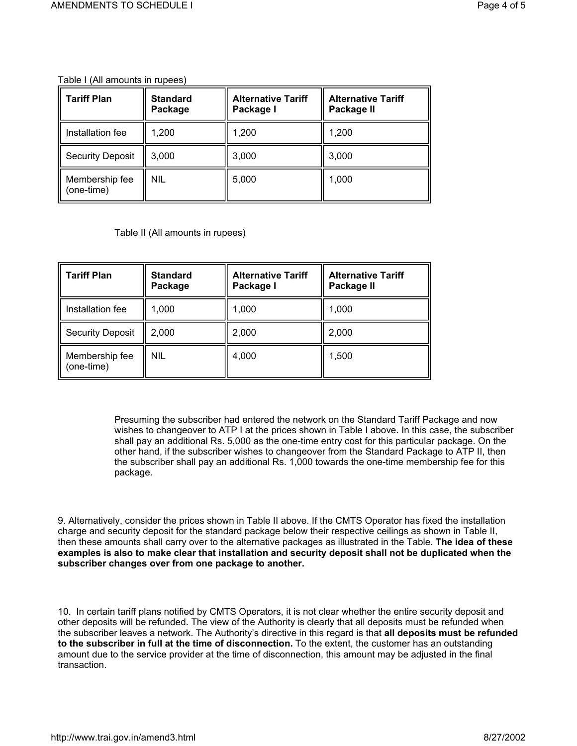Table I (All amounts in rupees)

| <b>Tariff Plan</b>           | <b>Standard</b><br>Package | <b>Alternative Tariff</b><br>Package I | <b>Alternative Tariff</b><br>Package II |
|------------------------------|----------------------------|----------------------------------------|-----------------------------------------|
| Installation fee             | 1,200                      | 1,200                                  | 1,200                                   |
| <b>Security Deposit</b>      | 3,000                      | 3,000                                  | 3,000                                   |
| Membership fee<br>(one-time) | nil                        | 5,000                                  | 1,000                                   |

Table II (All amounts in rupees)

| <b>Tariff Plan</b>           | <b>Standard</b><br>Package | <b>Alternative Tariff</b><br>Package I | <b>Alternative Tariff</b><br>Package II |
|------------------------------|----------------------------|----------------------------------------|-----------------------------------------|
| Installation fee             | 1,000                      | 1,000                                  | 1,000                                   |
| <b>Security Deposit</b>      | 2,000                      | 2,000                                  | 2,000                                   |
| Membership fee<br>(one-time) | nil                        | 4,000                                  | 1,500                                   |

Presuming the subscriber had entered the network on the Standard Tariff Package and now wishes to changeover to ATP I at the prices shown in Table I above. In this case, the subscriber shall pay an additional Rs. 5,000 as the one-time entry cost for this particular package. On the other hand, if the subscriber wishes to changeover from the Standard Package to ATP II, then the subscriber shall pay an additional Rs. 1,000 towards the one-time membership fee for this package.

9. Alternatively, consider the prices shown in Table II above. If the CMTS Operator has fixed the installation charge and security deposit for the standard package below their respective ceilings as shown in Table II, then these amounts shall carry over to the alternative packages as illustrated in the Table. **The idea of these examples is also to make clear that installation and security deposit shall not be duplicated when the subscriber changes over from one package to another.**

10. In certain tariff plans notified by CMTS Operators, it is not clear whether the entire security deposit and other deposits will be refunded. The view of the Authority is clearly that all deposits must be refunded when the subscriber leaves a network. The Authority's directive in this regard is that **all deposits must be refunded to the subscriber in full at the time of disconnection.** To the extent, the customer has an outstanding amount due to the service provider at the time of disconnection, this amount may be adjusted in the final transaction.